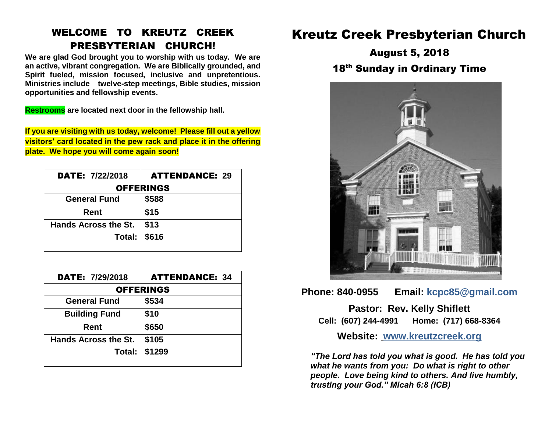### WELCOME TO KREUTZ CREEK PRESBYTERIAN CHURCH!

**We are glad God brought you to worship with us today. We are an active, vibrant congregation. We are Biblically grounded, and Spirit fueled, mission focused, inclusive and unpretentious. Ministries include twelve-step meetings, Bible studies, mission opportunities and fellowship events.**

**Restrooms are located next door in the fellowship hall.**

**If you are visiting with us today, welcome! Please fill out a yellow visitors' card located in the pew rack and place it in the offering plate. We hope you will come again soon!**

| <b>DATE: 7/22/2018</b>      | <b>ATTENDANCE: 29</b> |  |  |
|-----------------------------|-----------------------|--|--|
| <b>OFFERINGS</b>            |                       |  |  |
| <b>General Fund</b>         | \$588                 |  |  |
| Rent                        | \$15                  |  |  |
| <b>Hands Across the St.</b> | \$13                  |  |  |
| Total: $\vert$              | \$616                 |  |  |

| <b>DATE: 7/29/2018</b>      | <b>ATTENDANCE: 34</b> |  |  |
|-----------------------------|-----------------------|--|--|
| <b>OFFERINGS</b>            |                       |  |  |
| <b>General Fund</b>         | \$534                 |  |  |
| <b>Building Fund</b>        | \$10                  |  |  |
| Rent                        | \$650                 |  |  |
| <b>Hands Across the St.</b> | \$105                 |  |  |
| Total: I                    | \$1299                |  |  |

# Kreutz Creek Presbyterian Church

August 5, 2018 18<sup>th</sup> Sunday in Ordinary Time



**Phone: 840-0955 Email: kcpc85@gmail.com**

**Pastor: Rev. Kelly Shiflett Cell: (607) 244-4991 Home: (717) 668-8364**

**Website: [www.kreutzcreek.org](http://www.kreutzcreek.org/)**

*"The Lord has told you what is good. He has told you what he wants from you: Do what is right to other people. Love being kind to others. And live humbly, trusting your God." Micah 6:8 (ICB)*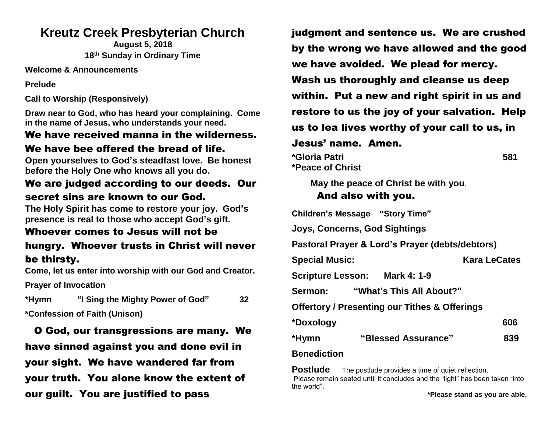## **Kreutz Creek Presbyterian Church**

**August 5, 2018 18 th Sunday in Ordinary Time**

**Welcome & Announcements**

**Prelude**

**Call to Worship (Responsively)**

**Draw near to God, who has heard your complaining. Come in the name of Jesus, who understands your need.**

#### We have received manna in the wilderness. We have bee offered the bread of life.

**Open yourselves to God's steadfast love. Be honest before the Holy One who knows all you do.** 

#### We are judged according to our deeds. Our secret sins are known to our God.

**The Holy Spirit has come to restore your joy. God's presence is real to those who accept God's gift.** 

#### Whoever comes to Jesus will not be hungry. Whoever trusts in Christ will never be thirsty.

**Come, let us enter into worship with our God and Creator.** 

**Prayer of Invocation** 

**\*Hymn "I Sing the Mighty Power of God" 32** 

**\*Confession of Faith (Unison)**

 O God, our transgressions are many. We have sinned against you and done evil in your sight. We have wandered far from your truth. You alone know the extent of our guilt. You are justified to pass

judgment and sentence us. We are crushed by the wrong we have allowed and the good we have avoided. We plead for mercy. Wash us thoroughly and cleanse us deep within. Put a new and right spirit in us and restore to us the joy of your salvation. Help us to lea lives worthy of your call to us, in Jesus' name. Amen. **\*Gloria Patri 581**

**\*Peace of Christ** 

**May the peace of Christ be with you**.

#### And also with you.

**Children's Message "Story Time" Joys, Concerns, God Sightings Pastoral Prayer & Lord's Prayer (debts/debtors)**

**Special Music:** Kara LeCates

**Scripture Lesson: Mark 4: 1-9** 

**Sermon: "What's This All About?"**

**Offertory / Presenting our Tithes & Offerings**

| *Doxology | 606 |
|-----------|-----|
|           |     |

**\*Hymn "Blessed Assurance" 839**

#### **Benediction**

**Postlude** The postlude provides a time of quiet reflection. Please remain seated until it concludes and the "light" has been taken "into the world".

**\*Please stand as you are able.**